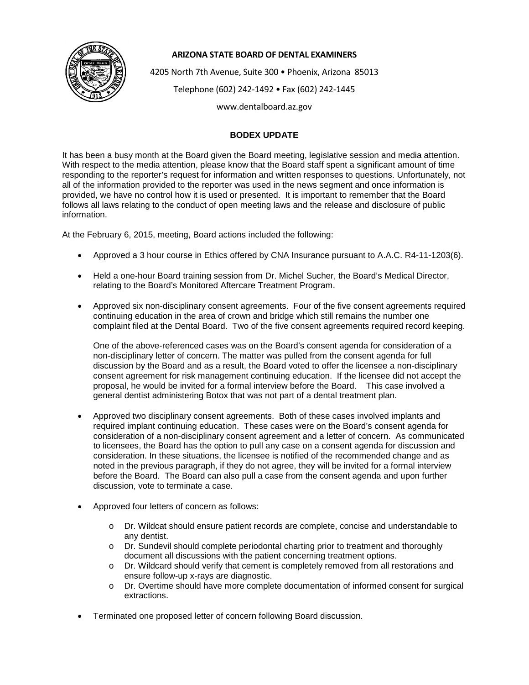

## **ARIZONA STATE BOARD OF DENTAL EXAMINERS**

4205 North 7th Avenue, Suite 300 • Phoenix, Arizona 85013

Telephone (602) 242-1492 • Fax (602) 242-1445

www.dentalboard.az.gov

## **BODEX UPDATE**

It has been a busy month at the Board given the Board meeting, legislative session and media attention. With respect to the media attention, please know that the Board staff spent a significant amount of time responding to the reporter's request for information and written responses to questions. Unfortunately, not all of the information provided to the reporter was used in the news segment and once information is provided, we have no control how it is used or presented. It is important to remember that the Board follows all laws relating to the conduct of open meeting laws and the release and disclosure of public information.

At the February 6, 2015, meeting, Board actions included the following:

- Approved a 3 hour course in Ethics offered by CNA Insurance pursuant to A.A.C. R4-11-1203(6).
- Held a one-hour Board training session from Dr. Michel Sucher, the Board's Medical Director, relating to the Board's Monitored Aftercare Treatment Program.
- Approved six non-disciplinary consent agreements. Four of the five consent agreements required continuing education in the area of crown and bridge which still remains the number one complaint filed at the Dental Board. Two of the five consent agreements required record keeping.

One of the above-referenced cases was on the Board's consent agenda for consideration of a non-disciplinary letter of concern. The matter was pulled from the consent agenda for full discussion by the Board and as a result, the Board voted to offer the licensee a non-disciplinary consent agreement for risk management continuing education. If the licensee did not accept the proposal, he would be invited for a formal interview before the Board. This case involved a general dentist administering Botox that was not part of a dental treatment plan.

- Approved two disciplinary consent agreements. Both of these cases involved implants and required implant continuing education. These cases were on the Board's consent agenda for consideration of a non-disciplinary consent agreement and a letter of concern. As communicated to licensees, the Board has the option to pull any case on a consent agenda for discussion and consideration. In these situations, the licensee is notified of the recommended change and as noted in the previous paragraph, if they do not agree, they will be invited for a formal interview before the Board. The Board can also pull a case from the consent agenda and upon further discussion, vote to terminate a case.
- Approved four letters of concern as follows:
	- o Dr. Wildcat should ensure patient records are complete, concise and understandable to any dentist.
	- o Dr. Sundevil should complete periodontal charting prior to treatment and thoroughly document all discussions with the patient concerning treatment options.
	- o Dr. Wildcard should verify that cement is completely removed from all restorations and ensure follow-up x-rays are diagnostic.
	- o Dr. Overtime should have more complete documentation of informed consent for surgical extractions.
- Terminated one proposed letter of concern following Board discussion.